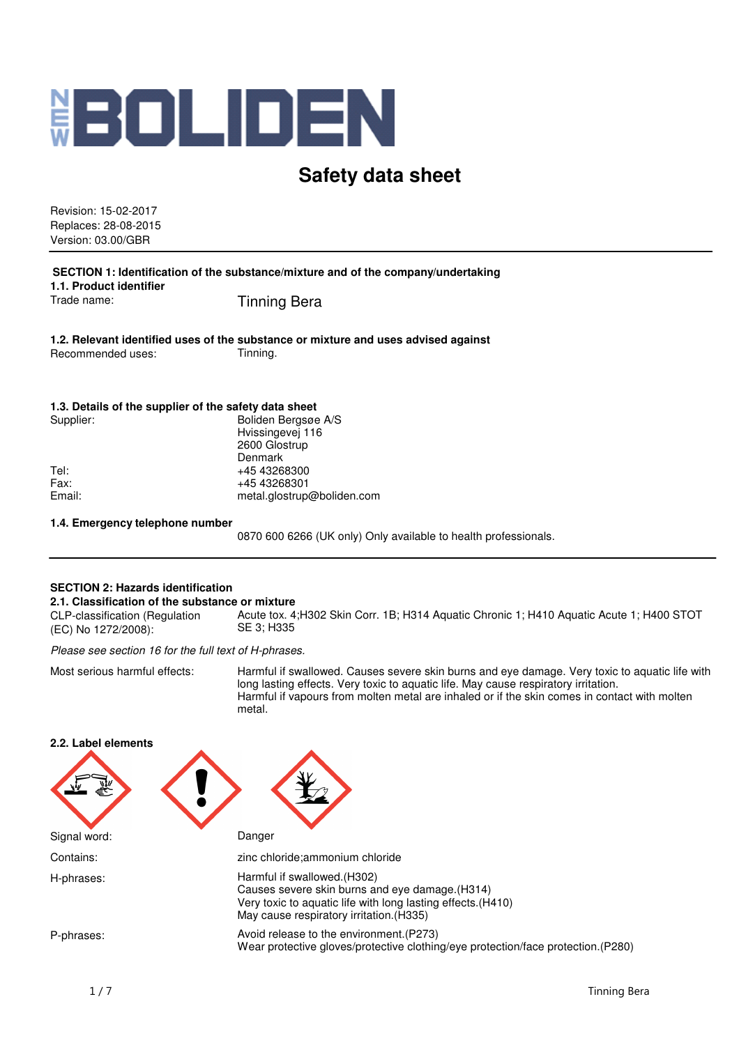

# **Safety data sheet**

Revision: 15-02-2017 Replaces: 28-08-2015 Version: 03.00/GBR

**SECTION 1: Identification of the substance/mixture and of the company/undertaking 1.1. Product identifier** Trade name: Tinning Bera

**1.2. Relevant identified uses of the substance or mixture and uses advised against** Recommended uses: Tinning.

#### **1.3. Details of the supplier of the safety data sheet**

| Supplier: | Boliden Bergsøe A/S        |
|-----------|----------------------------|
|           | Hvissingevej 116           |
|           | 2600 Glostrup              |
|           | Denmark                    |
| Tel:      | +45 43268300               |
| Fax:      | +45 43268301               |
| Email:    | metal.glostrup@boliden.com |
|           |                            |

### **1.4. Emergency telephone number**

0870 600 6266 (UK only) Only available to health professionals.

### **SECTION 2: Hazards identification**

#### **2.1. Classification of the substance or mixture**

CLP-classification (Regulation (EC) No 1272/2008): Acute tox. 4;H302 Skin Corr. 1B; H314 Aquatic Chronic 1; H410 Aquatic Acute 1; H400 STOT SE 3; H335

Please see section 16 for the full text of H-phrases.

Most serious harmful effects: Harmful if swallowed. Causes severe skin burns and eye damage. Very toxic to aquatic life with long lasting effects. Very toxic to aquatic life. May cause respiratory irritation. Harmful if vapours from molten metal are inhaled or if the skin comes in contact with molten metal.

| בידי דמחפו פופווופוווס |                                                                                                                                                                                             |
|------------------------|---------------------------------------------------------------------------------------------------------------------------------------------------------------------------------------------|
|                        |                                                                                                                                                                                             |
| Signal word:           | Danger                                                                                                                                                                                      |
| Contains:              | zinc chloride; ammonium chloride                                                                                                                                                            |
| H-phrases:             | Harmful if swallowed. (H302)<br>Causes severe skin burns and eye damage. (H314)<br>Very toxic to aquatic life with long lasting effects. (H410)<br>May cause respiratory irritation. (H335) |
| P-phrases:             | Avoid release to the environment. (P273)<br>Wear protective gloves/protective clothing/eye protection/face protection.(P280)                                                                |

**2.2. Label elements**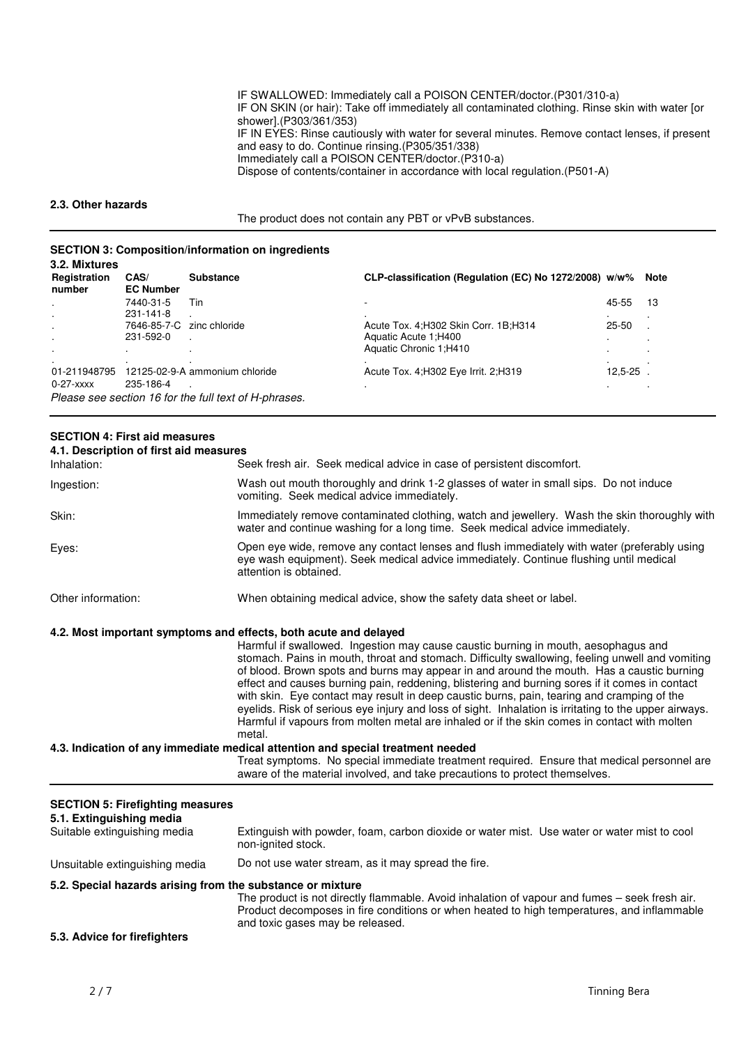IF SWALLOWED: Immediately call a POISON CENTER/doctor.(P301/310-a) IF ON SKIN (or hair): Take off immediately all contaminated clothing. Rinse skin with water [or shower].(P303/361/353) IF IN EYES: Rinse cautiously with water for several minutes. Remove contact lenses, if present and easy to do. Continue rinsing.(P305/351/338) Immediately call a POISON CENTER/doctor.(P310-a) Dispose of contents/container in accordance with local regulation.(P501-A)

#### **2.3. Other hazards**

The product does not contain any PBT or vPvB substances.

## **SECTION 3: Composition/information on ingredients**

| 3.2. Mixtures<br>Registration<br>number | CAS/<br><b>EC Number</b> | <b>Substance</b>                                      | CLP-classification (Regulation (EC) No 1272/2008) w/w% |           | Note |
|-----------------------------------------|--------------------------|-------------------------------------------------------|--------------------------------------------------------|-----------|------|
| $\cdot$                                 | 7440-31-5                | Tin                                                   |                                                        | 45-55     | 13   |
| $\cdot$                                 | 231-141-8                |                                                       |                                                        |           |      |
|                                         | 7646-85-7-C              | zinc chloride                                         | Acute Tox. 4; H302 Skin Corr. 1B; H314                 | $25 - 50$ |      |
| $\cdot$                                 | 231-592-0                |                                                       | Aquatic Acute 1; H400                                  |           |      |
| $\cdot$                                 |                          | $\cdot$                                               | Aquatic Chronic 1:H410                                 |           |      |
| 01-211948795<br>0-27-xxxx               | 235-186-4                | 12125-02-9-A ammonium chloride                        | Acute Tox. 4: H302 Eye Irrit. 2: H319                  | 12,5-25   |      |
|                                         |                          | Please see section 16 for the full text of H-phrases. |                                                        |           |      |

## **SECTION 4: First aid measures**

**4.1. Description of first aid measures**

| Inhalation:                                                                                         | Seek fresh air. Seek medical advice in case of persistent discomfort.                                                                                                                                                                                                                                                                                                                                                                                                                                                                                                                                                                                                                                 |
|-----------------------------------------------------------------------------------------------------|-------------------------------------------------------------------------------------------------------------------------------------------------------------------------------------------------------------------------------------------------------------------------------------------------------------------------------------------------------------------------------------------------------------------------------------------------------------------------------------------------------------------------------------------------------------------------------------------------------------------------------------------------------------------------------------------------------|
| Ingestion:                                                                                          | Wash out mouth thoroughly and drink 1-2 glasses of water in small sips. Do not induce<br>vomiting. Seek medical advice immediately.                                                                                                                                                                                                                                                                                                                                                                                                                                                                                                                                                                   |
| Skin:                                                                                               | Immediately remove contaminated clothing, watch and jewellery. Wash the skin thoroughly with<br>water and continue washing for a long time. Seek medical advice immediately.                                                                                                                                                                                                                                                                                                                                                                                                                                                                                                                          |
| Eyes:                                                                                               | Open eye wide, remove any contact lenses and flush immediately with water (preferably using<br>eye wash equipment). Seek medical advice immediately. Continue flushing until medical<br>attention is obtained.                                                                                                                                                                                                                                                                                                                                                                                                                                                                                        |
| Other information:                                                                                  | When obtaining medical advice, show the safety data sheet or label.                                                                                                                                                                                                                                                                                                                                                                                                                                                                                                                                                                                                                                   |
| 4.2. Most important symptoms and effects, both acute and delayed                                    | Harmful if swallowed. Ingestion may cause caustic burning in mouth, aesophagus and<br>stomach. Pains in mouth, throat and stomach. Difficulty swallowing, feeling unwell and vomiting<br>of blood. Brown spots and burns may appear in and around the mouth. Has a caustic burning<br>effect and causes burning pain, reddening, blistering and burning sores if it comes in contact<br>with skin. Eye contact may result in deep caustic burns, pain, tearing and cramping of the<br>eyelids. Risk of serious eye injury and loss of sight. Inhalation is irritating to the upper airways.<br>Harmful if vapours from molten metal are inhaled or if the skin comes in contact with molten<br>metal. |
|                                                                                                     | 4.3. Indication of any immediate medical attention and special treatment needed                                                                                                                                                                                                                                                                                                                                                                                                                                                                                                                                                                                                                       |
|                                                                                                     | Treat symptoms. No special immediate treatment required. Ensure that medical personnel are<br>aware of the material involved, and take precautions to protect themselves.                                                                                                                                                                                                                                                                                                                                                                                                                                                                                                                             |
| <b>SECTION 5: Firefighting measures</b><br>5.1. Extinguishing media<br>Suitable extinguishing media | Extinguish with powder, foam, carbon dioxide or water mist. Use water or water mist to cool                                                                                                                                                                                                                                                                                                                                                                                                                                                                                                                                                                                                           |
|                                                                                                     | non-ignited stock.                                                                                                                                                                                                                                                                                                                                                                                                                                                                                                                                                                                                                                                                                    |

## Unsuitable extinguishing media Do not use water stream, as it may spread the fire.

#### **5.2. Special hazards arising from the substance or mixture**

The product is not directly flammable. Avoid inhalation of vapour and fumes – seek fresh air. Product decomposes in fire conditions or when heated to high temperatures, and inflammable and toxic gases may be released.

### **5.3. Advice for firefighters**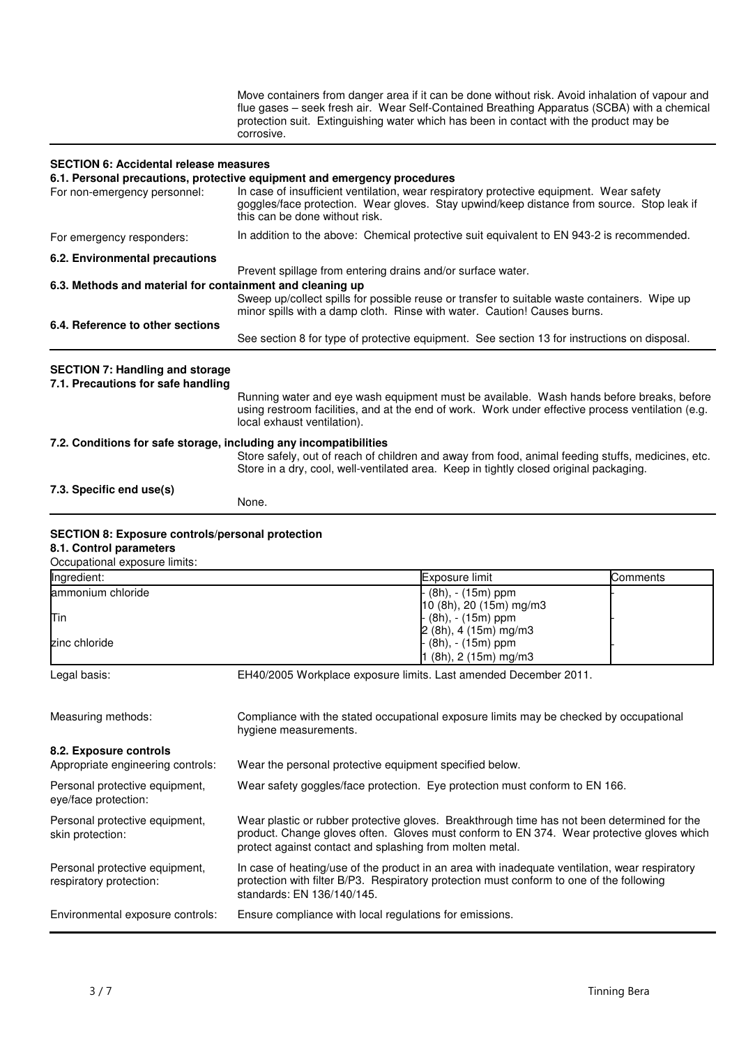Move containers from danger area if it can be done without risk. Avoid inhalation of vapour and flue gases – seek fresh air. Wear Self-Contained Breathing Apparatus (SCBA) with a chemical protection suit. Extinguishing water which has been in contact with the product may be corrosive.

#### **SECTION 6: Accidental release measures**

#### **6.1. Personal precautions, protective equipment and emergency procedures**

|                                                                   | o.i. Personal precaduons, protective equipment and emergency procedures                                                                                                                                                      |  |  |  |
|-------------------------------------------------------------------|------------------------------------------------------------------------------------------------------------------------------------------------------------------------------------------------------------------------------|--|--|--|
| For non-emergency personnel:                                      | In case of insufficient ventilation, wear respiratory protective equipment. Wear safety<br>goggles/face protection. Wear gloves. Stay upwind/keep distance from source. Stop leak if<br>this can be done without risk.       |  |  |  |
| For emergency responders:                                         | In addition to the above: Chemical protective suit equivalent to EN 943-2 is recommended.                                                                                                                                    |  |  |  |
| 6.2. Environmental precautions                                    | Prevent spillage from entering drains and/or surface water.                                                                                                                                                                  |  |  |  |
| 6.3. Methods and material for containment and cleaning up         |                                                                                                                                                                                                                              |  |  |  |
|                                                                   | Sweep up/collect spills for possible reuse or transfer to suitable waste containers. Wipe up<br>minor spills with a damp cloth. Rinse with water. Caution! Causes burns.                                                     |  |  |  |
| 6.4. Reference to other sections                                  |                                                                                                                                                                                                                              |  |  |  |
|                                                                   | See section 8 for type of protective equipment. See section 13 for instructions on disposal.                                                                                                                                 |  |  |  |
| <b>SECTION 7: Handling and storage</b>                            |                                                                                                                                                                                                                              |  |  |  |
| 7.1. Precautions for safe handling                                |                                                                                                                                                                                                                              |  |  |  |
|                                                                   | Running water and eye wash equipment must be available. Wash hands before breaks, before<br>using restroom facilities, and at the end of work. Work under effective process ventilation (e.g.<br>local exhaust ventilation). |  |  |  |
| 7.2. Conditions for safe storage, including any incompatibilities | Store safely, out of reach of children and away from food, animal feeding stuffs, medicines, etc.<br>Store in a dry, cool, well-ventilated area. Keep in tightly closed original packaging.                                  |  |  |  |
| 7.3. Specific end use(s)                                          |                                                                                                                                                                                                                              |  |  |  |
|                                                                   | None.                                                                                                                                                                                                                        |  |  |  |

# **SECTION 8: Exposure controls/personal protection**

#### **8.1. Control parameters** Occupational exposure limits:

| OCCUDANOHAI CADUSUIC IIIIIIIS. |                           |          |
|--------------------------------|---------------------------|----------|
| Ingredient:                    | Exposure limit            | Comments |
| ammonium chloride              | - (8h), - (15m) ppm       |          |
|                                | $10$ (8h), 20 (15m) mg/m3 |          |
| Tin                            | - (8h), - (15m) ppm       |          |
|                                | $2(8h)$ , 4 (15m) mg/m3   |          |
| zinc chloride                  | - (8h), - (15m) ppm       |          |
|                                | $1(8h)$ , 2 (15m) mg/m3   |          |
|                                |                           |          |

Legal basis: EH40/2005 Workplace exposure limits. Last amended December 2011.

Measuring methods: Compliance with the stated occupational exposure limits may be checked by occupational hygiene measurements. **8.2. Exposure controls** Appropriate engineering controls: Wear the personal protective equipment specified below. Personal protective equipment, eye/face protection: Wear safety goggles/face protection. Eye protection must conform to EN 166. Personal protective equipment, skin protection: Wear plastic or rubber protective gloves. Breakthrough time has not been determined for the product. Change gloves often. Gloves must conform to EN 374. Wear protective gloves which protect against contact and splashing from molten metal. Personal protective equipment, respiratory protection: In case of heating/use of the product in an area with inadequate ventilation, wear respiratory protection with filter B/P3. Respiratory protection must conform to one of the following standards: EN 136/140/145. Environmental exposure controls: Ensure compliance with local regulations for emissions.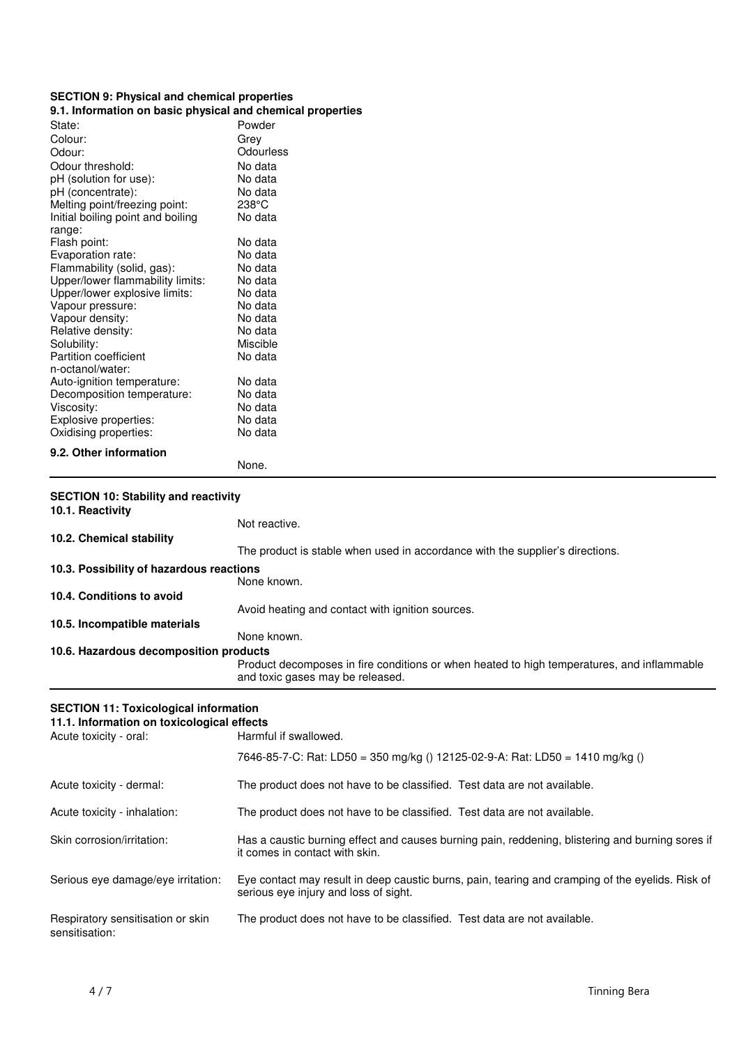# **SECTION 9: Physical and chemical properties**

## **9.1. Information on basic physical and chemical properties**

| State:                                      | Powder                                                                                                                         |
|---------------------------------------------|--------------------------------------------------------------------------------------------------------------------------------|
| Colour:                                     | Grey                                                                                                                           |
| Odour:                                      | Odourless                                                                                                                      |
| Odour threshold:                            | No data                                                                                                                        |
| pH (solution for use):                      | No data                                                                                                                        |
| pH (concentrate):                           | No data                                                                                                                        |
| Melting point/freezing point:               | $238^{\circ}$ C                                                                                                                |
| Initial boiling point and boiling           | No data                                                                                                                        |
| range:                                      |                                                                                                                                |
| Flash point:                                | No data                                                                                                                        |
| Evaporation rate:                           | No data                                                                                                                        |
| Flammability (solid, gas):                  | No data                                                                                                                        |
| Upper/lower flammability limits:            | No data                                                                                                                        |
| Upper/lower explosive limits:               | No data                                                                                                                        |
| Vapour pressure:                            | No data                                                                                                                        |
| Vapour density:                             | No data                                                                                                                        |
| Relative density:                           | No data                                                                                                                        |
| Solubility:                                 | Miscible                                                                                                                       |
| Partition coefficient                       | No data                                                                                                                        |
| n-octanol/water:                            |                                                                                                                                |
| Auto-ignition temperature:                  | No data                                                                                                                        |
| Decomposition temperature:                  | No data                                                                                                                        |
| Viscosity:                                  | No data                                                                                                                        |
| Explosive properties:                       | No data                                                                                                                        |
| Oxidising properties:                       | No data                                                                                                                        |
| 9.2. Other information                      |                                                                                                                                |
|                                             | None.                                                                                                                          |
|                                             |                                                                                                                                |
|                                             |                                                                                                                                |
| <b>SECTION 10: Stability and reactivity</b> |                                                                                                                                |
| 10.1. Reactivity                            |                                                                                                                                |
|                                             | Not reactive.                                                                                                                  |
| 10.2. Chemical stability                    |                                                                                                                                |
|                                             | The product is stable when used in accordance with the supplier's directions.                                                  |
| 10.3. Possibility of hazardous reactions    |                                                                                                                                |
|                                             | None known.                                                                                                                    |
| 10.4. Conditions to avoid                   |                                                                                                                                |
|                                             | Avoid heating and contact with ignition sources.                                                                               |
|                                             |                                                                                                                                |
| 10.5. Incompatible materials                | None known.                                                                                                                    |
|                                             |                                                                                                                                |
| 10.6. Hazardous decomposition products      |                                                                                                                                |
|                                             | Product decomposes in fire conditions or when heated to high temperatures, and inflammable<br>and toxic gases may be released. |

## **SECTION 11: Toxicological information**

| 11.1. Information on toxicological effects          |                                                                                                                                           |  |
|-----------------------------------------------------|-------------------------------------------------------------------------------------------------------------------------------------------|--|
| Acute toxicity - oral:                              | Harmful if swallowed.                                                                                                                     |  |
|                                                     | 7646-85-7-C: Rat: LD50 = 350 mg/kg () 12125-02-9-A: Rat: LD50 = 1410 mg/kg ()                                                             |  |
| Acute toxicity - dermal:                            | The product does not have to be classified. Test data are not available.                                                                  |  |
| Acute toxicity - inhalation:                        | The product does not have to be classified. Test data are not available.                                                                  |  |
| Skin corrosion/irritation:                          | Has a caustic burning effect and causes burning pain, reddening, blistering and burning sores if<br>it comes in contact with skin.        |  |
| Serious eye damage/eye irritation:                  | Eye contact may result in deep caustic burns, pain, tearing and cramping of the eyelids. Risk of<br>serious eve injury and loss of sight. |  |
| Respiratory sensitisation or skin<br>sensitisation: | The product does not have to be classified. Test data are not available.                                                                  |  |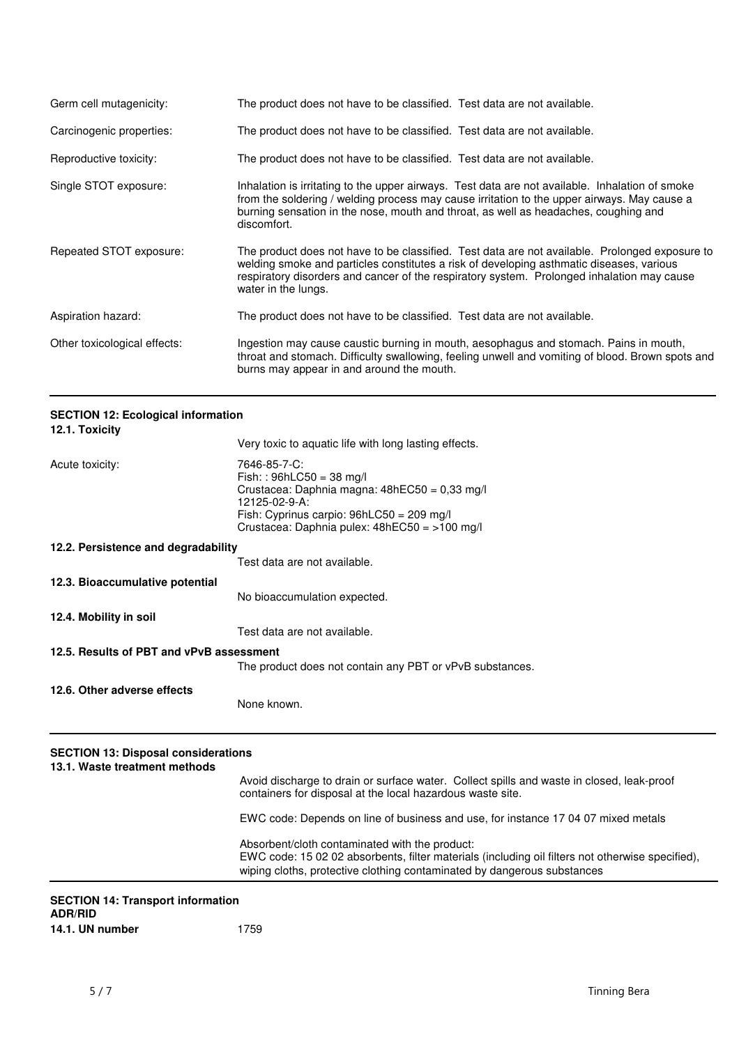| Germ cell mutagenicity:      | The product does not have to be classified. Test data are not available.                                                                                                                                                                                                                                        |
|------------------------------|-----------------------------------------------------------------------------------------------------------------------------------------------------------------------------------------------------------------------------------------------------------------------------------------------------------------|
| Carcinogenic properties:     | The product does not have to be classified. Test data are not available.                                                                                                                                                                                                                                        |
| Reproductive toxicity:       | The product does not have to be classified. Test data are not available.                                                                                                                                                                                                                                        |
| Single STOT exposure:        | Inhalation is irritating to the upper airways. Test data are not available. Inhalation of smoke<br>from the soldering / welding process may cause irritation to the upper airways. May cause a<br>burning sensation in the nose, mouth and throat, as well as headaches, coughing and<br>discomfort.            |
| Repeated STOT exposure:      | The product does not have to be classified. Test data are not available. Prolonged exposure to<br>welding smoke and particles constitutes a risk of developing asthmatic diseases, various<br>respiratory disorders and cancer of the respiratory system. Prolonged inhalation may cause<br>water in the lungs. |
| Aspiration hazard:           | The product does not have to be classified. Test data are not available.                                                                                                                                                                                                                                        |
| Other toxicological effects: | Ingestion may cause caustic burning in mouth, aesophagus and stomach. Pains in mouth,<br>throat and stomach. Difficulty swallowing, feeling unwell and vomiting of blood. Brown spots and<br>burns may appear in and around the mouth.                                                                          |

|                |  | <b>SECTION 12: Ecological information</b> |
|----------------|--|-------------------------------------------|
| $101$ Taviaity |  |                                           |

| 12.1. Toxicity                           |                                                                                                                                                                                                               |
|------------------------------------------|---------------------------------------------------------------------------------------------------------------------------------------------------------------------------------------------------------------|
|                                          | Very toxic to aquatic life with long lasting effects.                                                                                                                                                         |
| Acute toxicity:                          | 7646-85-7-C:<br>$Fish: : 96hLC50 = 38 mg/l$<br>Crustacea: Daphnia magna: 48hEC50 = 0,33 mg/l<br>12125-02-9-A:<br>Fish: Cyprinus carpio: $96hLC50 = 209$ mg/l<br>Crustacea: Daphnia pulex: 48hEC50 = >100 mg/l |
| 12.2. Persistence and degradability      |                                                                                                                                                                                                               |
|                                          | Test data are not available.                                                                                                                                                                                  |
| 12.3. Bioaccumulative potential          |                                                                                                                                                                                                               |
|                                          | No bioaccumulation expected.                                                                                                                                                                                  |
| 12.4. Mobility in soil                   |                                                                                                                                                                                                               |
|                                          | Test data are not available.                                                                                                                                                                                  |
| 12.5. Results of PBT and vPvB assessment | The product does not contain any PBT or vPvB substances.                                                                                                                                                      |
| 12.6. Other adverse effects              | None known.                                                                                                                                                                                                   |
| 8-8-1811 18 BL                           |                                                                                                                                                                                                               |

# **SECTION 13: Disposal considerations**

| 13.1. Waste treatment methods                                                                                                                                                                                                                                                                                                                                                                                                |                                                                                                                                                                             |
|------------------------------------------------------------------------------------------------------------------------------------------------------------------------------------------------------------------------------------------------------------------------------------------------------------------------------------------------------------------------------------------------------------------------------|-----------------------------------------------------------------------------------------------------------------------------------------------------------------------------|
|                                                                                                                                                                                                                                                                                                                                                                                                                              | Avoid discharge to drain or surface water. Collect spills and waste in closed, leak-proof<br>containers for disposal at the local hazardous waste site.                     |
|                                                                                                                                                                                                                                                                                                                                                                                                                              | EWC code: Depends on line of business and use, for instance 17 04 07 mixed metals                                                                                           |
|                                                                                                                                                                                                                                                                                                                                                                                                                              | Absorbent/cloth contaminated with the product:                                                                                                                              |
|                                                                                                                                                                                                                                                                                                                                                                                                                              | EWC code: 15 02 02 absorbents, filter materials (including oil filters not otherwise specified),<br>wiping cloths, protective clothing contaminated by dangerous substances |
| $\mathbf{A} = \mathbf{A} + \mathbf{B} + \mathbf{A} + \mathbf{B} + \mathbf{B} + \mathbf{B} + \mathbf{B} + \mathbf{B} + \mathbf{B} + \mathbf{B} + \mathbf{B} + \mathbf{B} + \mathbf{B} + \mathbf{B} + \mathbf{B} + \mathbf{B} + \mathbf{B} + \mathbf{B} + \mathbf{B} + \mathbf{B} + \mathbf{B} + \mathbf{B} + \mathbf{B} + \mathbf{B} + \mathbf{B} + \mathbf{B} + \mathbf{B} + \mathbf{B} + \mathbf{B} + \mathbf{B} + \mathbf$ |                                                                                                                                                                             |

| <b>SECTION 14: Transport information</b> |      |
|------------------------------------------|------|
| <b>ADR/RID</b>                           |      |
| 14.1. UN number                          | 1759 |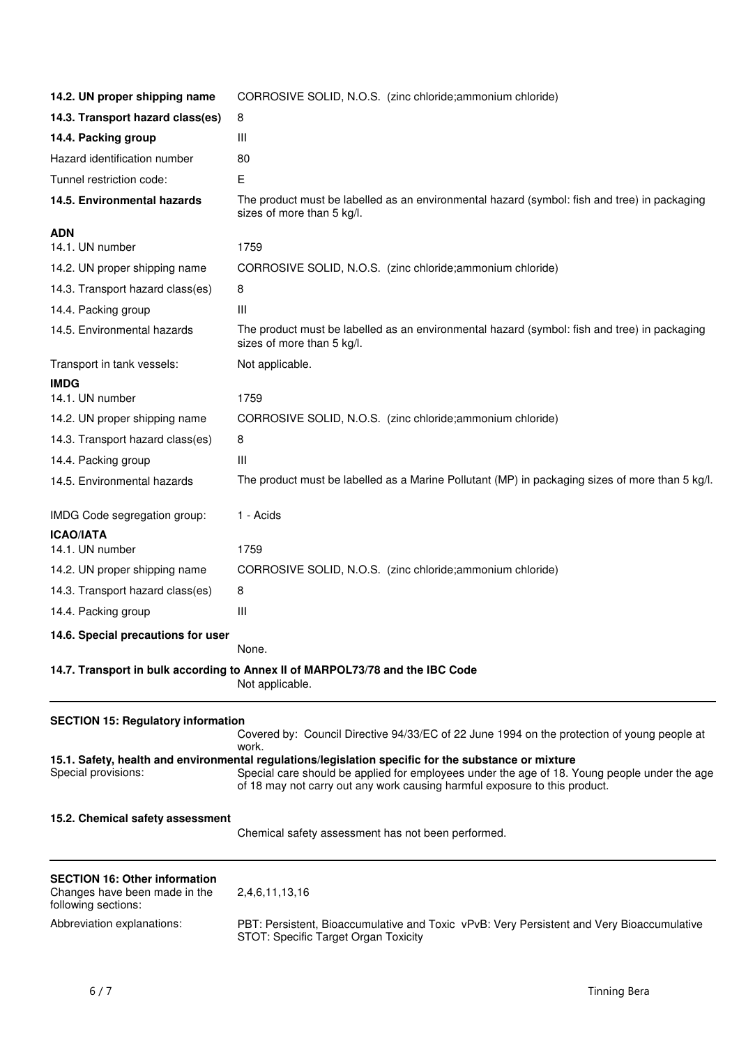| 14.2. UN proper shipping name                                                                | CORROSIVE SOLID, N.O.S. (zinc chloride; ammonium chloride)                                                                                                                                                                                                                         |
|----------------------------------------------------------------------------------------------|------------------------------------------------------------------------------------------------------------------------------------------------------------------------------------------------------------------------------------------------------------------------------------|
| 14.3. Transport hazard class(es)                                                             | 8                                                                                                                                                                                                                                                                                  |
| 14.4. Packing group                                                                          | Ш                                                                                                                                                                                                                                                                                  |
| Hazard identification number                                                                 | 80                                                                                                                                                                                                                                                                                 |
| Tunnel restriction code:                                                                     | Е                                                                                                                                                                                                                                                                                  |
| 14.5. Environmental hazards                                                                  | The product must be labelled as an environmental hazard (symbol: fish and tree) in packaging<br>sizes of more than 5 kg/l.                                                                                                                                                         |
| <b>ADN</b><br>14.1. UN number                                                                | 1759                                                                                                                                                                                                                                                                               |
| 14.2. UN proper shipping name                                                                | CORROSIVE SOLID, N.O.S. (zinc chloride; ammonium chloride)                                                                                                                                                                                                                         |
| 14.3. Transport hazard class(es)                                                             | 8                                                                                                                                                                                                                                                                                  |
|                                                                                              | Ш                                                                                                                                                                                                                                                                                  |
| 14.4. Packing group<br>14.5. Environmental hazards                                           |                                                                                                                                                                                                                                                                                    |
|                                                                                              | The product must be labelled as an environmental hazard (symbol: fish and tree) in packaging<br>sizes of more than 5 kg/l.                                                                                                                                                         |
| Transport in tank vessels:                                                                   | Not applicable.                                                                                                                                                                                                                                                                    |
| <b>IMDG</b>                                                                                  |                                                                                                                                                                                                                                                                                    |
| 14.1. UN number                                                                              | 1759                                                                                                                                                                                                                                                                               |
| 14.2. UN proper shipping name                                                                | CORROSIVE SOLID, N.O.S. (zinc chloride; ammonium chloride)                                                                                                                                                                                                                         |
| 14.3. Transport hazard class(es)                                                             | 8                                                                                                                                                                                                                                                                                  |
| 14.4. Packing group                                                                          | Ш                                                                                                                                                                                                                                                                                  |
| 14.5. Environmental hazards                                                                  | The product must be labelled as a Marine Pollutant (MP) in packaging sizes of more than 5 kg/l.                                                                                                                                                                                    |
| IMDG Code segregation group:                                                                 | 1 - Acids                                                                                                                                                                                                                                                                          |
| <b>ICAO/IATA</b><br>14.1. UN number                                                          | 1759                                                                                                                                                                                                                                                                               |
| 14.2. UN proper shipping name                                                                | CORROSIVE SOLID, N.O.S. (zinc chloride; ammonium chloride)                                                                                                                                                                                                                         |
| 14.3. Transport hazard class(es)                                                             | 8                                                                                                                                                                                                                                                                                  |
| 14.4. Packing group                                                                          | Ш                                                                                                                                                                                                                                                                                  |
| 14.6. Special precautions for user                                                           | None.                                                                                                                                                                                                                                                                              |
|                                                                                              | 14.7. Transport in bulk according to Annex II of MARPOL73/78 and the IBC Code<br>Not applicable.                                                                                                                                                                                   |
| <b>SECTION 15: Regulatory information</b>                                                    | Covered by: Council Directive 94/33/EC of 22 June 1994 on the protection of young people at<br>work.                                                                                                                                                                               |
| Special provisions:                                                                          | 15.1. Safety, health and environmental regulations/legislation specific for the substance or mixture<br>Special care should be applied for employees under the age of 18. Young people under the age<br>of 18 may not carry out any work causing harmful exposure to this product. |
| 15.2. Chemical safety assessment                                                             | Chemical safety assessment has not been performed.                                                                                                                                                                                                                                 |
| <b>SECTION 16: Other information</b><br>Changes have been made in the<br>following sections: | 2,4,6,11,13,16                                                                                                                                                                                                                                                                     |
| Abbreviation explanations:                                                                   | PBT: Persistent, Bioaccumulative and Toxic vPvB: Very Persistent and Very Bioaccumulative<br>STOT: Specific Target Organ Toxicity                                                                                                                                                  |